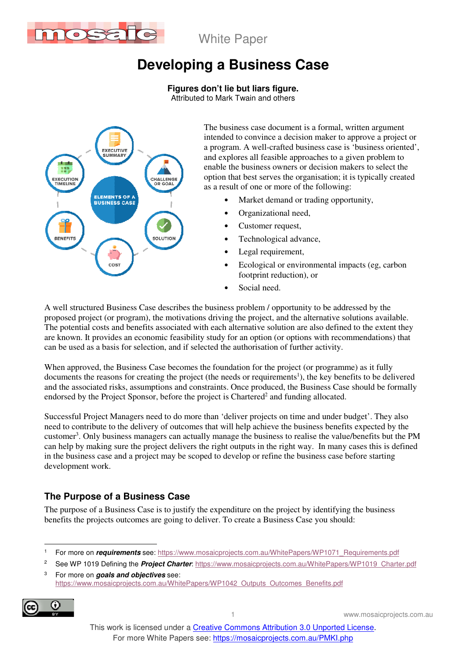

# **Developing a Business Case**

**Figures don't lie but liars figure.** 

Attributed to Mark Twain and others



The business case document is a formal, written argument intended to convince a decision maker to approve a project or a program. A well-crafted business case is 'business oriented', and explores all feasible approaches to a given problem to enable the business owners or decision makers to select the option that best serves the organisation; it is typically created as a result of one or more of the following:

- Market demand or trading opportunity,
- Organizational need,
- Customer request,
- Technological advance,
- Legal requirement,
- Ecological or environmental impacts (eg, carbon footprint reduction), or
- Social need.

A well structured Business Case describes the business problem / opportunity to be addressed by the proposed project (or program), the motivations driving the project, and the alternative solutions available. The potential costs and benefits associated with each alternative solution are also defined to the extent they are known. It provides an economic feasibility study for an option (or options with recommendations) that can be used as a basis for selection, and if selected the authorisation of further activity.

When approved, the Business Case becomes the foundation for the project (or programme) as it fully documents the reasons for creating the project (the needs or requirements<sup>1</sup>), the key benefits to be delivered and the associated risks, assumptions and constraints. Once produced, the Business Case should be formally endorsed by the Project Sponsor, before the project is Chartered<sup>2</sup> and funding allocated.

Successful Project Managers need to do more than 'deliver projects on time and under budget'. They also need to contribute to the delivery of outcomes that will help achieve the business benefits expected by the customer<sup>3</sup>. Only business managers can actually manage the business to realise the value/benefits but the PM can help by making sure the project delivers the right outputs in the right way. In many cases this is defined in the business case and a project may be scoped to develop or refine the business case before starting development work.

# **The Purpose of a Business Case**

The purpose of a Business Case is to justify the expenditure on the project by identifying the business benefits the projects outcomes are going to deliver. To create a Business Case you should:

2 See WP 1019 Defining the **Project Charter**: https://www.mosaicprojects.com.au/WhitePapers/WP1019\_Charter.pdf 3 For more on **goals and objectives** see:

https://www.mosaicprojects.com.au/WhitePapers/WP1042\_Outputs\_Outcomes\_Benefits.pdf



<sup>|&</sup>lt;br>1 For more on *requirements* see: https://www.mosaicprojects.com.au/WhitePapers/WP1071\_Requirements.pdf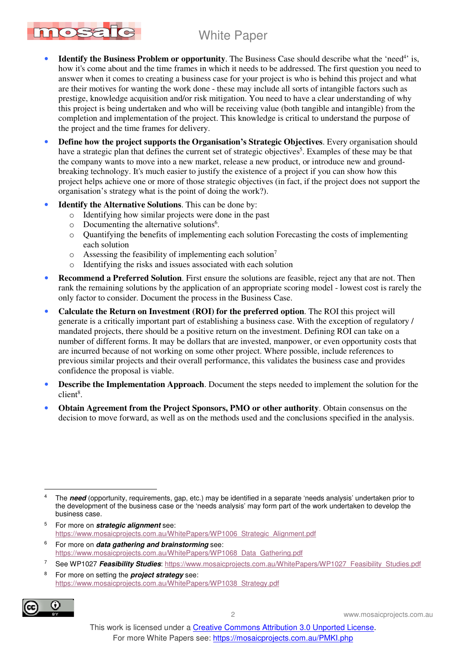- mosafd
	- Identify the Business Problem or opportunity. The Business Case should describe what the 'need<sup>4</sup>' is, how it's come about and the time frames in which it needs to be addressed. The first question you need to answer when it comes to creating a business case for your project is who is behind this project and what are their motives for wanting the work done - these may include all sorts of intangible factors such as prestige, knowledge acquisition and/or risk mitigation. You need to have a clear understanding of why this project is being undertaken and who will be receiving value (both tangible and intangible) from the completion and implementation of the project. This knowledge is critical to understand the purpose of the project and the time frames for delivery.
	- **Define how the project supports the Organisation's Strategic Objectives**. Every organisation should have a strategic plan that defines the current set of strategic objectives<sup>5</sup>. Examples of these may be that the company wants to move into a new market, release a new product, or introduce new and groundbreaking technology. It's much easier to justify the existence of a project if you can show how this project helps achieve one or more of those strategic objectives (in fact, if the project does not support the organisation's strategy what is the point of doing the work?).
	- **Identify the Alternative Solutions**. This can be done by:
		- o Identifying how similar projects were done in the past
		- o Documenting the alternative solutions<sup>6</sup>.
		- o Quantifying the benefits of implementing each solution Forecasting the costs of implementing each solution
		- $\circ$  Assessing the feasibility of implementing each solution<sup>7</sup>
		- o Identifying the risks and issues associated with each solution
	- **Recommend a Preferred Solution**. First ensure the solutions are feasible, reject any that are not. Then rank the remaining solutions by the application of an appropriate scoring model - lowest cost is rarely the only factor to consider. Document the process in the Business Case.
	- **Calculate the Return on Investment (ROI) for the preferred option**. The ROI this project will generate is a critically important part of establishing a business case. With the exception of regulatory / mandated projects, there should be a positive return on the investment. Defining ROI can take on a number of different forms. It may be dollars that are invested, manpower, or even opportunity costs that are incurred because of not working on some other project. Where possible, include references to previous similar projects and their overall performance, this validates the business case and provides confidence the proposal is viable.
	- **Describe the Implementation Approach**. Document the steps needed to implement the solution for the  $client<sup>8</sup>$ .
	- **Obtain Agreement from the Project Sponsors, PMO or other authority**. Obtain consensus on the decision to move forward, as well as on the methods used and the conclusions specified in the analysis.

- 5 For more on **strategic alignment** see: https://www.mosaicprojects.com.au/WhitePapers/WP1006\_Strategic\_Alignment.pdf
- 6 For more on **data gathering and brainstorming** see: https://www.mosaicprojects.com.au/WhitePapers/WP1068\_Data\_Gathering.pdf
- 7 See WP1027 **Feasibility Studies**: https://www.mosaicprojects.com.au/WhitePapers/WP1027\_Feasibility\_Studies.pdf
- 8 For more on setting the **project strategy** see: https://www.mosaicprojects.com.au/WhitePapers/WP1038\_Strategy.pdf



2 www.mosaicprojects.com.au

 $\overline{a}$ 4 The **need** (opportunity, requirements, gap, etc.) may be identified in a separate 'needs analysis' undertaken prior to the development of the business case or the 'needs analysis' may form part of the work undertaken to develop the business case.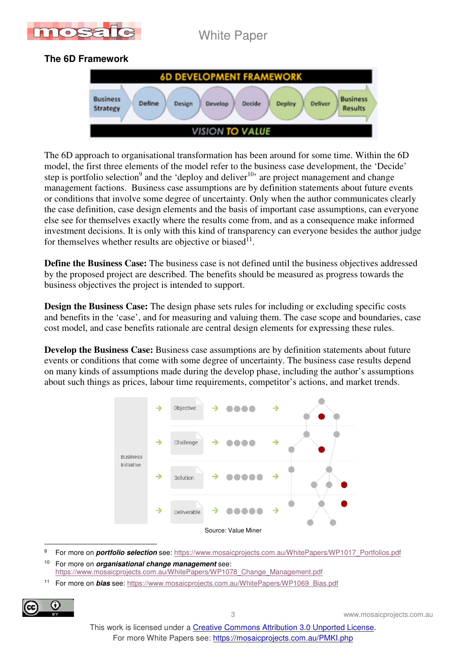

## **The 6D Framework**



The 6D approach to organisational transformation has been around for some time. Within the 6D model, the first three elements of the model refer to the business case development, the 'Decide' step is portfolio selection<sup>9</sup> and the 'deploy and deliver<sup>10</sup>' are project management and change management factions. Business case assumptions are by definition statements about future events or conditions that involve some degree of uncertainty. Only when the author communicates clearly the case definition, case design elements and the basis of important case assumptions, can everyone else see for themselves exactly where the results come from, and as a consequence make informed investment decisions. It is only with this kind of transparency can everyone besides the author judge for themselves whether results are objective or biased<sup>11</sup>.

**Define the Business Case:** The business case is not defined until the business objectives addressed by the proposed project are described. The benefits should be measured as progress towards the business objectives the project is intended to support.

**Design the Business Case:** The design phase sets rules for including or excluding specific costs and benefits in the 'case', and for measuring and valuing them. The case scope and boundaries, case cost model, and case benefits rationale are central design elements for expressing these rules.

**Develop the Business Case:** Business case assumptions are by definition statements about future events or conditions that come with some degree of uncertainty. The business case results depend on many kinds of assumptions made during the develop phase, including the author's assumptions about such things as prices, labour time requirements, competitor's actions, and market trends.



 $\overline{a}$ 9 For more on **portfolio selection** see: https://www.mosaicprojects.com.au/WhitePapers/WP1017\_Portfolios.pdf

<sup>10</sup> For more on **organisational change management** see: https://www.mosaicprojects.com.au/WhitePapers/WP1078\_Change\_Management.pdf

11 For more on **bias** see: https://www.mosaicprojects.com.au/WhitePapers/WP1069\_Bias.pdf



3 www.mosaicprojects.com.au

This work is licensed under a Creative Commons Attribution 3.0 Unported License. For more White Papers see: https://mosaicprojects.com.au/PMKI.php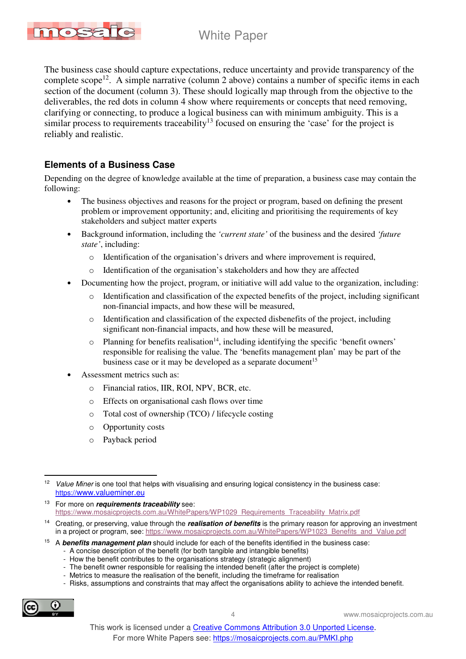

The business case should capture expectations, reduce uncertainty and provide transparency of the complete scope<sup>12</sup>. A simple narrative (column 2 above) contains a number of specific items in each section of the document (column 3). These should logically map through from the objective to the deliverables, the red dots in column 4 show where requirements or concepts that need removing, clarifying or connecting, to produce a logical business can with minimum ambiguity. This is a similar process to requirements traceability<sup>13</sup> focused on ensuring the 'case' for the project is reliably and realistic.

### **Elements of a Business Case**

Depending on the degree of knowledge available at the time of preparation, a business case may contain the following:

- The business objectives and reasons for the project or program, based on defining the present problem or improvement opportunity; and, eliciting and prioritising the requirements of key stakeholders and subject matter experts
- Background information, including the *'current state'* of the business and the desired *'future state'*, including:
	- o Identification of the organisation's drivers and where improvement is required,
	- o Identification of the organisation's stakeholders and how they are affected
- Documenting how the project, program, or initiative will add value to the organization, including:
	- Identification and classification of the expected benefits of the project, including significant non-financial impacts, and how these will be measured,
	- o Identification and classification of the expected disbenefits of the project, including significant non-financial impacts, and how these will be measured,
	- $\circ$  Planning for benefits realisation<sup>14</sup>, including identifying the specific 'benefit owners' responsible for realising the value. The 'benefits management plan' may be part of the business case or it may be developed as a separate document<sup>15</sup>
- Assessment metrics such as:
	- o Financial ratios, IIR, ROI, NPV, BCR, etc.
	- o Effects on organisational cash flows over time
	- o Total cost of ownership (TCO) / lifecycle costing
	- o Opportunity costs
	- o Payback period

- A concise description of the benefit (for both tangible and intangible benefits)
- How the benefit contributes to the organisations strategy (strategic alignment)
- The benefit owner responsible for realising the intended benefit (after the project is complete)
- Metrics to measure the realisation of the benefit, including the timeframe for realisation
- Risks, assumptions and constraints that may affect the organisations ability to achieve the intended benefit.



4 www.mosaicprojects.com.au

<sup>12</sup> Value Miner is one tool that helps with visualising and ensuring logical consistency in the business case: https://www.valueminer.eu

<sup>13</sup> For more on **requirements traceability** see: https://www.mosaicprojects.com.au/WhitePapers/WP1029\_Requirements\_Traceability\_Matrix.pdf

<sup>14</sup> Creating, or preserving, value through the **realisation of benefits** is the primary reason for approving an investment in a project or program, see: https://www.mosaicprojects.com.au/WhitePapers/WP1023\_Benefits\_and\_Value.pdf

<sup>15</sup> A **benefits management plan** should include for each of the benefits identified in the business case: